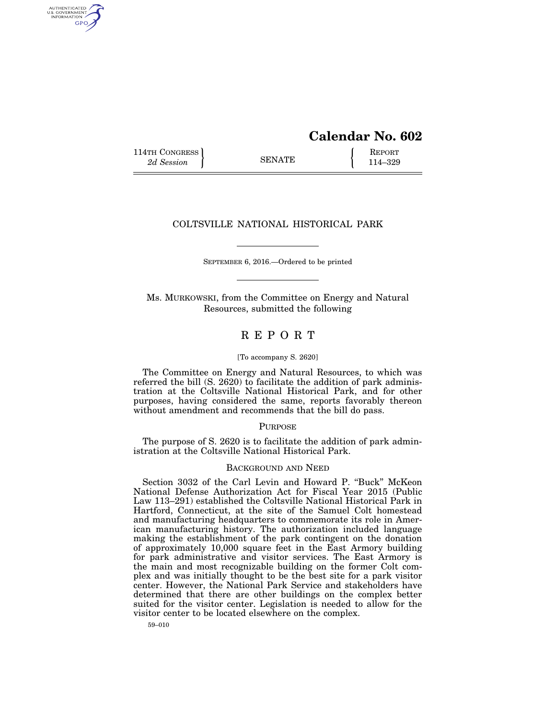# **Calendar No. 602**

114TH CONGRESS **REPORT** 2d Session **114–329** 

AUTHENTICATED<br>U.S. GOVERNMENT<br>INFORMATION GPO

## COLTSVILLE NATIONAL HISTORICAL PARK

SEPTEMBER 6, 2016.—Ordered to be printed

Ms. MURKOWSKI, from the Committee on Energy and Natural Resources, submitted the following

# R E P O R T

#### [To accompany S. 2620]

The Committee on Energy and Natural Resources, to which was referred the bill  $(S. 2620)$  to facilitate the addition of park administration at the Coltsville National Historical Park, and for other purposes, having considered the same, reports favorably thereon without amendment and recommends that the bill do pass.

## **PURPOSE**

The purpose of S. 2620 is to facilitate the addition of park administration at the Coltsville National Historical Park.

#### BACKGROUND AND NEED

Section 3032 of the Carl Levin and Howard P. ''Buck'' McKeon National Defense Authorization Act for Fiscal Year 2015 (Public Law 113–291) established the Coltsville National Historical Park in Hartford, Connecticut, at the site of the Samuel Colt homestead and manufacturing headquarters to commemorate its role in American manufacturing history. The authorization included language making the establishment of the park contingent on the donation of approximately 10,000 square feet in the East Armory building for park administrative and visitor services. The East Armory is the main and most recognizable building on the former Colt complex and was initially thought to be the best site for a park visitor center. However, the National Park Service and stakeholders have determined that there are other buildings on the complex better suited for the visitor center. Legislation is needed to allow for the visitor center to be located elsewhere on the complex.

59–010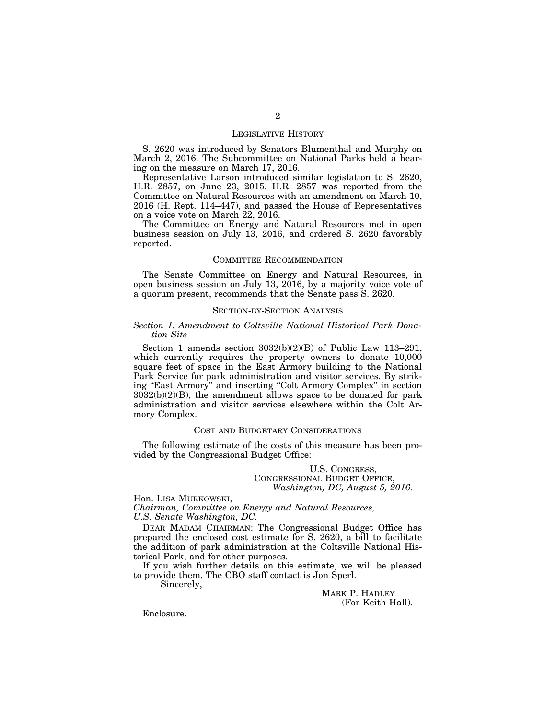#### LEGISLATIVE HISTORY

S. 2620 was introduced by Senators Blumenthal and Murphy on March 2, 2016. The Subcommittee on National Parks held a hearing on the measure on March 17, 2016.

Representative Larson introduced similar legislation to S. 2620, H.R. 2857, on June 23, 2015. H.R. 2857 was reported from the Committee on Natural Resources with an amendment on March 10, 2016 (H. Rept. 114–447), and passed the House of Representatives on a voice vote on March 22, 2016.

The Committee on Energy and Natural Resources met in open business session on July 13, 2016, and ordered S. 2620 favorably reported.

## COMMITTEE RECOMMENDATION

The Senate Committee on Energy and Natural Resources, in open business session on July 13,  $2016$ , by a majority voice vote of a quorum present, recommends that the Senate pass S. 2620.

### SECTION-BY-SECTION ANALYSIS

### *Section 1. Amendment to Coltsville National Historical Park Donation Site*

Section 1 amends section 3032(b)(2)(B) of Public Law 113–291, which currently requires the property owners to donate 10,000 square feet of space in the East Armory building to the National Park Service for park administration and visitor services. By striking ''East Armory'' and inserting ''Colt Armory Complex'' in section  $3032(b)(2)(B)$ , the amendment allows space to be donated for park administration and visitor services elsewhere within the Colt Armory Complex.

#### COST AND BUDGETARY CONSIDERATIONS

The following estimate of the costs of this measure has been provided by the Congressional Budget Office:

## U.S. CONGRESS, CONGRESSIONAL BUDGET OFFICE, *Washington, DC, August 5, 2016.*

Hon. LISA MURKOWSKI, *Chairman, Committee on Energy and Natural Resources, U.S. Senate Washington, DC.* 

DEAR MADAM CHAIRMAN: The Congressional Budget Office has prepared the enclosed cost estimate for S. 2620, a bill to facilitate the addition of park administration at the Coltsville National Historical Park, and for other purposes.

If you wish further details on this estimate, we will be pleased to provide them. The CBO staff contact is Jon Sperl.

Sincerely,

MARK P. HADLEY (For Keith Hall).

Enclosure.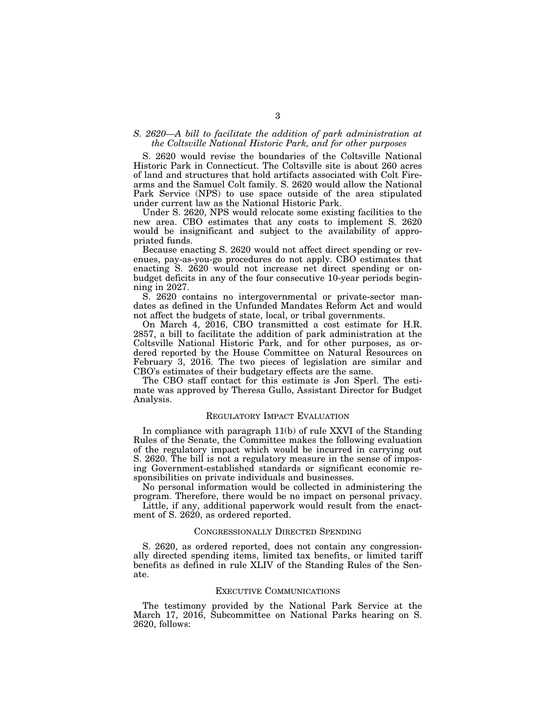### *S. 2620—A bill to facilitate the addition of park administration at the Coltsville National Historic Park, and for other purposes*

S. 2620 would revise the boundaries of the Coltsville National Historic Park in Connecticut. The Coltsville site is about 260 acres of land and structures that hold artifacts associated with Colt Firearms and the Samuel Colt family. S. 2620 would allow the National Park Service (NPS) to use space outside of the area stipulated under current law as the National Historic Park.

Under S. 2620, NPS would relocate some existing facilities to the new area. CBO estimates that any costs to implement S. 2620 would be insignificant and subject to the availability of appropriated funds.

Because enacting S. 2620 would not affect direct spending or revenues, pay-as-you-go procedures do not apply. CBO estimates that enacting S. 2620 would not increase net direct spending or onbudget deficits in any of the four consecutive 10-year periods beginning in 2027.

S. 2620 contains no intergovernmental or private-sector mandates as defined in the Unfunded Mandates Reform Act and would not affect the budgets of state, local, or tribal governments.

On March 4, 2016, CBO transmitted a cost estimate for H.R. 2857, a bill to facilitate the addition of park administration at the Coltsville National Historic Park, and for other purposes, as ordered reported by the House Committee on Natural Resources on February 3, 2016. The two pieces of legislation are similar and CBO's estimates of their budgetary effects are the same.

The CBO staff contact for this estimate is Jon Sperl. The estimate was approved by Theresa Gullo, Assistant Director for Budget Analysis.

#### REGULATORY IMPACT EVALUATION

In compliance with paragraph 11(b) of rule XXVI of the Standing Rules of the Senate, the Committee makes the following evaluation of the regulatory impact which would be incurred in carrying out S. 2620. The bill is not a regulatory measure in the sense of imposing Government-established standards or significant economic responsibilities on private individuals and businesses.

No personal information would be collected in administering the program. Therefore, there would be no impact on personal privacy.

Little, if any, additional paperwork would result from the enactment of S. 2620, as ordered reported.

#### CONGRESSIONALLY DIRECTED SPENDING

S. 2620, as ordered reported, does not contain any congressionally directed spending items, limited tax benefits, or limited tariff benefits as defined in rule XLIV of the Standing Rules of the Senate.

#### EXECUTIVE COMMUNICATIONS

The testimony provided by the National Park Service at the March 17, 2016, Subcommittee on National Parks hearing on S. 2620, follows: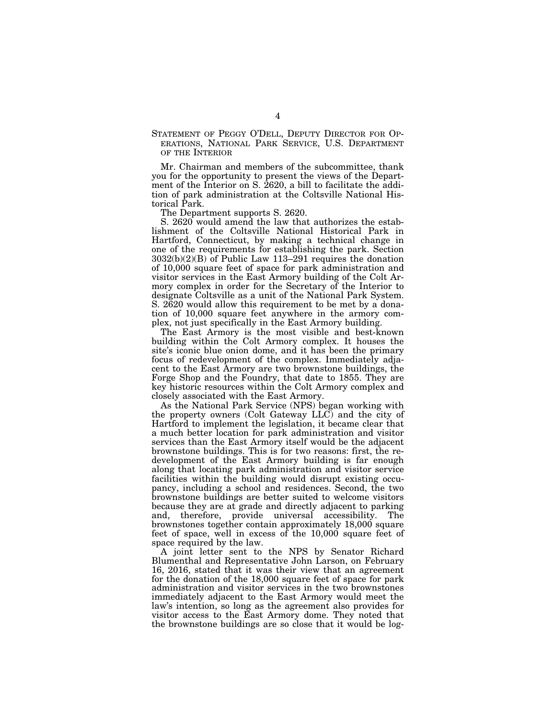STATEMENT OF PEGGY O'DELL, DEPUTY DIRECTOR FOR OP-ERATIONS, NATIONAL PARK SERVICE, U.S. DEPARTMENT OF THE INTERIOR

Mr. Chairman and members of the subcommittee, thank you for the opportunity to present the views of the Department of the Interior on S. 2620, a bill to facilitate the addition of park administration at the Coltsville National Historical Park.

The Department supports S. 2620.

S. 2620 would amend the law that authorizes the establishment of the Coltsville National Historical Park in Hartford, Connecticut, by making a technical change in one of the requirements for establishing the park. Section  $3032(b)(2)(B)$  of Public Law 113–291 requires the donation of 10,000 square feet of space for park administration and visitor services in the East Armory building of the Colt Armory complex in order for the Secretary of the Interior to designate Coltsville as a unit of the National Park System. S. 2620 would allow this requirement to be met by a donation of 10,000 square feet anywhere in the armory complex, not just specifically in the East Armory building.

The East Armory is the most visible and best-known building within the Colt Armory complex. It houses the site's iconic blue onion dome, and it has been the primary focus of redevelopment of the complex. Immediately adjacent to the East Armory are two brownstone buildings, the Forge Shop and the Foundry, that date to 1855. They are key historic resources within the Colt Armory complex and closely associated with the East Armory.

As the National Park Service (NPS) began working with the property owners (Colt Gateway LLC) and the city of Hartford to implement the legislation, it became clear that a much better location for park administration and visitor services than the East Armory itself would be the adjacent brownstone buildings. This is for two reasons: first, the redevelopment of the East Armory building is far enough along that locating park administration and visitor service facilities within the building would disrupt existing occupancy, including a school and residences. Second, the two brownstone buildings are better suited to welcome visitors because they are at grade and directly adjacent to parking and, therefore, provide universal accessibility. The brownstones together contain approximately 18,000 square feet of space, well in excess of the 10,000 square feet of space required by the law.

A joint letter sent to the NPS by Senator Richard Blumenthal and Representative John Larson, on February 16, 2016, stated that it was their view that an agreement for the donation of the 18,000 square feet of space for park administration and visitor services in the two brownstones immediately adjacent to the East Armory would meet the law's intention, so long as the agreement also provides for visitor access to the East Armory dome. They noted that the brownstone buildings are so close that it would be log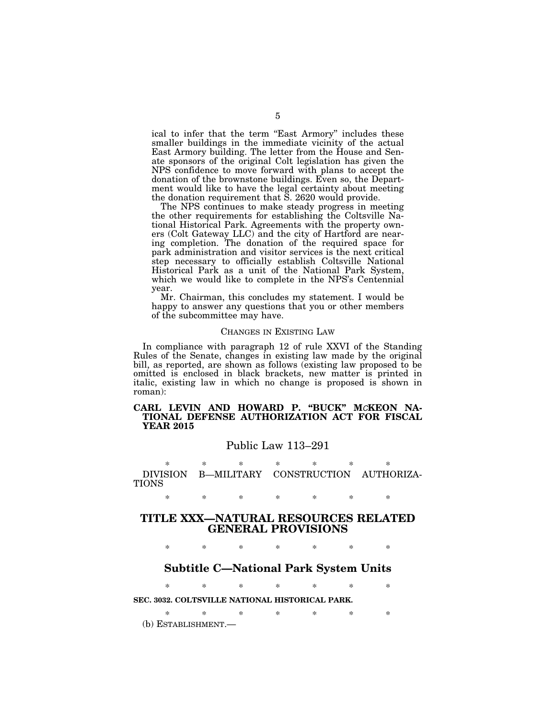ical to infer that the term "East Armory" includes these smaller buildings in the immediate vicinity of the actual East Armory building. The letter from the House and Senate sponsors of the original Colt legislation has given the NPS confidence to move forward with plans to accept the donation of the brownstone buildings. Even so, the Department would like to have the legal certainty about meeting the donation requirement that S. 2620 would provide.

The NPS continues to make steady progress in meeting the other requirements for establishing the Coltsville National Historical Park. Agreements with the property owners (Colt Gateway LLC) and the city of Hartford are nearing completion. The donation of the required space for park administration and visitor services is the next critical step necessary to officially establish Coltsville National Historical Park as a unit of the National Park System, which we would like to complete in the NPS's Centennial year.

Mr. Chairman, this concludes my statement. I would be happy to answer any questions that you or other members of the subcommittee may have.

#### CHANGES IN EXISTING LAW

In compliance with paragraph 12 of rule XXVI of the Standing Rules of the Senate, changes in existing law made by the original bill, as reported, are shown as follows (existing law proposed to be omitted is enclosed in black brackets, new matter is printed in italic, existing law in which no change is proposed is shown in roman):

## **CARL LEVIN AND HOWARD P. ''BUCK'' M***C***KEON NA-TIONAL DEFENSE AUTHORIZATION ACT FOR FISCAL YEAR 2015**

## Public Law 113–291

\* \* \* \* \* \* \* DIVISION B—MILITARY CONSTRUCTION AUTHORIZA-TIONS

\* \* \* \* \* \* \*

## **TITLE XXX—NATURAL RESOURCES RELATED GENERAL PROVISIONS**

\* \* \* \* \* \* \*

## **Subtitle C—National Park System Units**

\* \* \* \* \* \* \* **SEC. 3032. COLTSVILLE NATIONAL HISTORICAL PARK.** 

\* \* \* \* \* \* \*

(b) ESTABLISHMENT.—